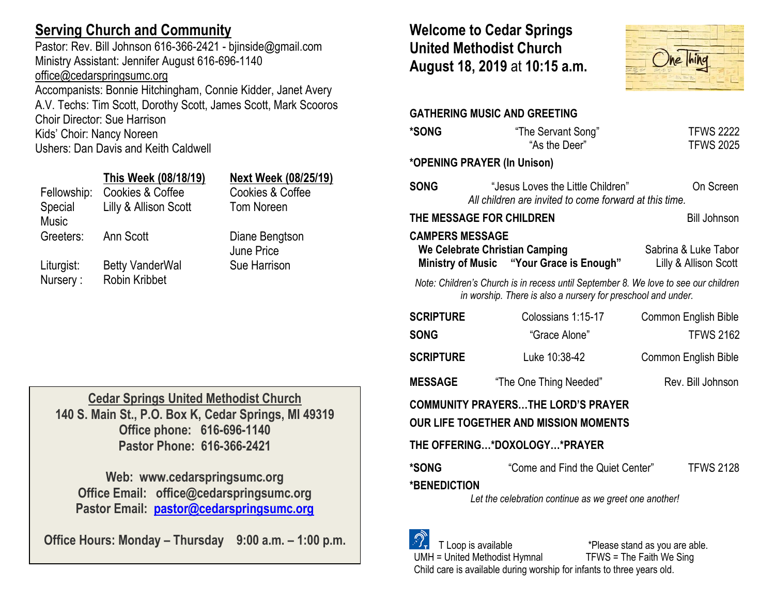# **Serving Church and Community**

Pastor: Rev. Bill Johnson 616-366-2421 - bjinside@gmail.com Ministry Assistant: Jennifer August 616-696-1140 [office@cedarspringsumc.org](mailto:office@cedarspringsumc.org) Accompanists: Bonnie Hitchingham, Connie Kidder, Janet Avery A.V. Techs: Tim Scott, Dorothy Scott, James Scott, Mark Scooros Choir Director: Sue Harrison

Kids' Choir: Nancy Noreen

Ushers: Dan Davis and Keith Caldwell

## **This Week (08/18/19) Next Week (08/25/19)**

Fellowship: Cookies & Coffee Cookies & Coffee Special Music Lilly & Allison Scott Tom Noreen Greeters: Ann Scott Diane Bengtson Liturgist: Betty VanderWal Sue Harrison Nursery : Robin Kribbet

June Price

**Cedar Springs United Methodist Church 140 S. Main St., P.O. Box K, Cedar Springs, MI 49319 Office phone: 616-696-1140 Pastor Phone: 616-366-2421**

**Web: www.cedarspringsumc.org Office Email: office@cedarspringsumc.org Pastor Email: [pastor@cedarspringsumc.org](mailto:pastor@cedarspringsumc.org)**

**Office Hours: Monday – Thursday 9:00 a.m. – 1:00 p.m.**

# **Welcome to Cedar Springs United Methodist Church August 18, 2019** at **10:15 a.m.**



|                                                                                                                                                       | <b>GATHERING MUSIC AND GREETING</b>                                                         |                                      |  |  |  |
|-------------------------------------------------------------------------------------------------------------------------------------------------------|---------------------------------------------------------------------------------------------|--------------------------------------|--|--|--|
| <b>*SONG</b>                                                                                                                                          | "The Servant Song"<br>"As the Deer"                                                         | <b>TFWS 2222</b><br><b>TFWS 2025</b> |  |  |  |
| *OPENING PRAYER (In Unison)                                                                                                                           |                                                                                             |                                      |  |  |  |
| <b>SONG</b>                                                                                                                                           | "Jesus Loves the Little Children"<br>All children are invited to come forward at this time. | On Screen                            |  |  |  |
| THE MESSAGE FOR CHILDREN<br><b>Bill Johnson</b>                                                                                                       |                                                                                             |                                      |  |  |  |
| <b>CAMPERS MESSAGE</b><br>We Celebrate Christian Camping<br>Sabrina & Luke Tabor<br>Ministry of Music "Your Grace is Enough"<br>Lilly & Allison Scott |                                                                                             |                                      |  |  |  |
| Note: Children's Church is in recess until September 8. We love to see our children<br>in worship. There is also a nursery for preschool and under.   |                                                                                             |                                      |  |  |  |
| <b>SCRIPTURE</b>                                                                                                                                      | Colossians 1:15-17                                                                          | Common English Bible                 |  |  |  |
| <b>SONG</b>                                                                                                                                           | "Grace Alone"                                                                               | <b>TFWS 2162</b>                     |  |  |  |
| <b>SCRIPTURE</b>                                                                                                                                      | Luke 10:38-42                                                                               | <b>Common English Bible</b>          |  |  |  |
| <b>MESSAGE</b>                                                                                                                                        | "The One Thing Needed"                                                                      | Rev. Bill Johnson                    |  |  |  |
| <b>COMMUNITY PRAYERSTHE LORD'S PRAYER</b><br><b>OUR LIFE TOGETHER AND MISSION MOMENTS</b>                                                             |                                                                                             |                                      |  |  |  |
| THE OFFERING*DOXOLOGY*PRAYER                                                                                                                          |                                                                                             |                                      |  |  |  |
| *SONG                                                                                                                                                 | "Come and Find the Quiet Center"                                                            | <b>TFWS 2128</b>                     |  |  |  |
| *BENEDICTION<br>Let the celebration continue as we greet one another!                                                                                 |                                                                                             |                                      |  |  |  |
|                                                                                                                                                       |                                                                                             |                                      |  |  |  |

 T Loop is available \*Please stand as you are able. UMH = United Methodist Hymnal TFWS = The Faith We Sing Child care is available during worship for infants to three years old.